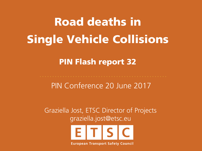# Road deaths in Single Vehicle Collisions

#### PIN Flash report 32

PIN Conference 20 June 2017

Graziella Jost, ETSC Director of Projects graziella.jost@etsc.eu



**European Transport Safety Council**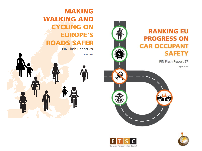



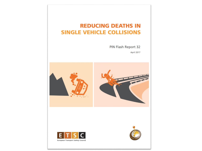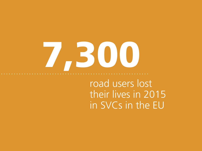# 7,300

road users lost their lives in 2015 in SVCs in the EU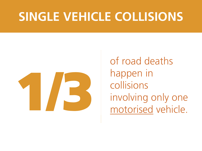## **SINGLE VEHICLE COLLISIONS**



of road deaths happen in collisions involving only one motorised vehicle.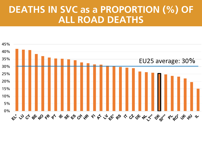#### **DEATHS IN SVC as a PROPORTION (%) OF ALL ROAD DEATHS**

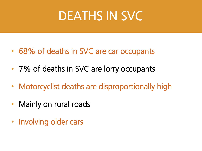# **DEATHS IN SVC**

- 68% of deaths in SVC are car occupants
- 7% of deaths in SVC are lorry occupants
- Motorcyclist deaths are disproportionally high
- Mainly on rural roads
- Involving older cars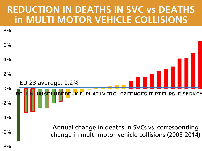#### **REDUCTION IN DEATHS IN SVC vs DEATHS in MULTI MOTOR VEHICLE COLLISIONS**

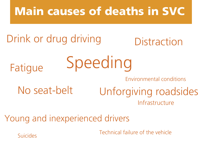#### Main causes of deaths in SVC

#### Speeding Drink or drug driving Fatigue **Distraction** Unforgiving roadsides Infrastructure Environmental conditions No seat-belt

Young and inexperienced drivers

Technical failure of the vehicle

Suicides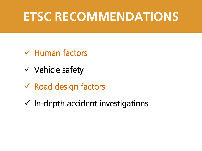## **ETSC RECOMMENDATIONS**

- $\checkmark$  Human factors
- $\checkmark$  Vehicle safety
- $\checkmark$  Road design factors
- $\checkmark$  In-depth accident investigations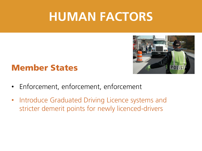## **HUMAN FACTORS**



#### Member States

- Enforcement, enforcement, enforcement
- Introduce Graduated Driving Licence systems and stricter demerit points for newly licenced-drivers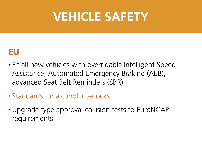## **VEHICLE SAFETY**

#### EU

- Fit all new vehicles with overridable Intelligent Speed Assistance, Automated Emergency Braking (AEB), advanced Seat Belt Reminders (SBR)
- Standards for alcohol interlocks
- Upgrade type approval collision tests to EuroNCAP requirements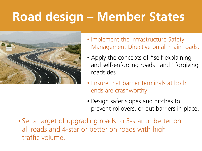# **Road design – Member States**



- Implement the Infrastructure Safety Management Directive on all main roads.
- Apply the concepts of "self-explaining and self-enforcing roads" and "forgiving roadsides".
- Ensure that barrier terminals at both ends are crashworthy.
- Design safer slopes and ditches to prevent rollovers, or put barriers in place.
- Set a target of upgrading roads to 3-star or better on all roads and 4-star or better on roads with high traffic volume.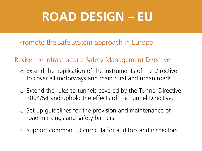## **ROAD DESIGN – EU**

Promote the safe system approach in Europe

Revise the Infrastructure Safety Management Directive

- o Extend the application of the instruments of the Directive to cover all motorways and main rural and urban roads.
- o Extend the rules to tunnels covered by the Tunnel Directive 2004/54 and uphold the effects of the Tunnel Directive.
- o Set up guidelines for the provision and maintenance of road markings and safety barriers.
- o Support common EU curricula for auditors and inspectors.